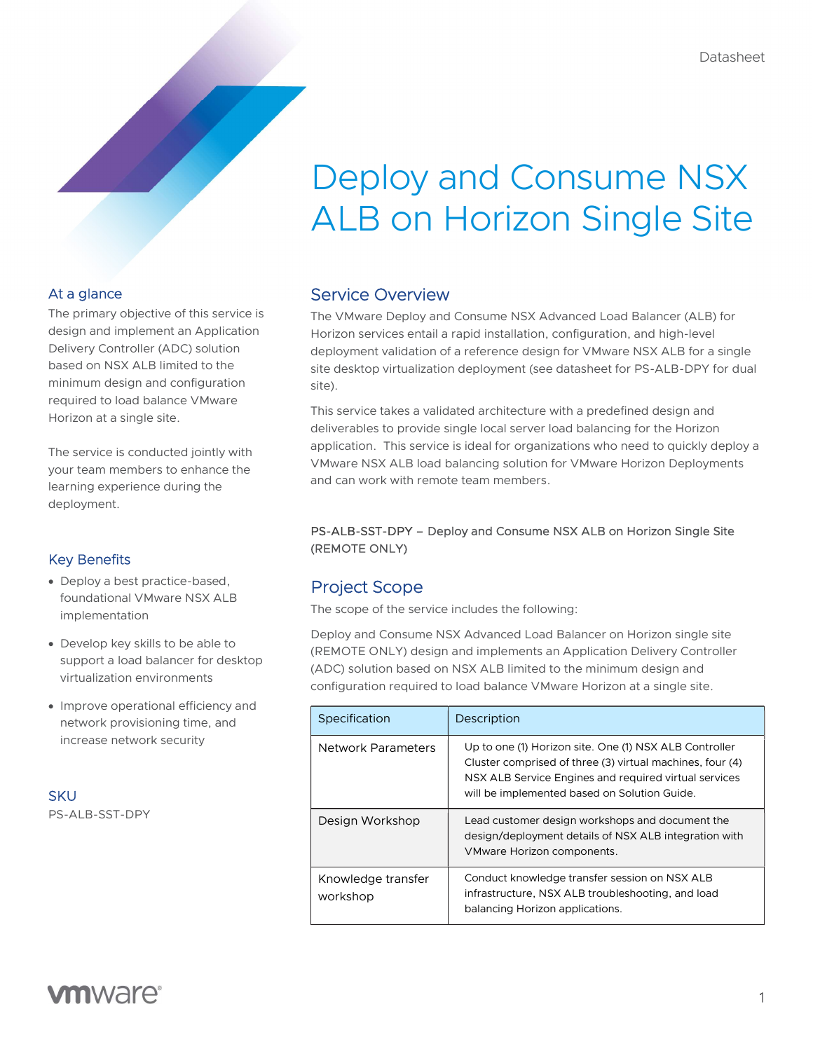# Deploy and Consume NSX ALB on Horizon Single Site

## At a glance

The primary objective of this service is design and implement an Application Delivery Controller (ADC) solution based on NSX ALB limited to the minimum design and configuration required to load balance VMware Horizon at a single site.

The service is conducted jointly with your team members to enhance the learning experience during the deployment.

# Key Benefits

- Deploy a best practice-based, foundational VMware NSX ALB implementation
- Develop key skills to be able to support a load balancer for desktop virtualization environments
- Improve operational efficiency and network provisioning time, and increase network security

**SKU** 

PS-ALB-SST-DPY

# Service Overview

The VMware Deploy and Consume NSX Advanced Load Balancer (ALB) for Horizon services entail a rapid installation, configuration, and high-level deployment validation of a reference design for VMware NSX ALB for a single site desktop virtualization deployment (see datasheet for PS-ALB-DPY for dual site).

This service takes a validated architecture with a predefined design and deliverables to provide single local server load balancing for the Horizon application. This service is ideal for organizations who need to quickly deploy a VMware NSX ALB load balancing solution for VMware Horizon Deployments and can work with remote team members.

### PS-ALB-SST-DPY – Deploy and Consume NSX ALB on Horizon Single Site (REMOTE ONLY)

# Project Scope

The scope of the service includes the following:

Deploy and Consume NSX Advanced Load Balancer on Horizon single site (REMOTE ONLY) design and implements an Application Delivery Controller (ADC) solution based on NSX ALB limited to the minimum design and configuration required to load balance VMware Horizon at a single site.

| Specification                  | Description                                                                                                                                                                                                                  |
|--------------------------------|------------------------------------------------------------------------------------------------------------------------------------------------------------------------------------------------------------------------------|
| Network Parameters             | Up to one (1) Horizon site. One (1) NSX ALB Controller<br>Cluster comprised of three (3) virtual machines, four (4)<br>NSX ALB Service Engines and required virtual services<br>will be implemented based on Solution Guide. |
| Design Workshop                | Lead customer design workshops and document the<br>design/deployment details of NSX ALB integration with<br>VMware Horizon components.                                                                                       |
| Knowledge transfer<br>workshop | Conduct knowledge transfer session on NSX ALB<br>infrastructure, NSX ALB troubleshooting, and load<br>balancing Horizon applications.                                                                                        |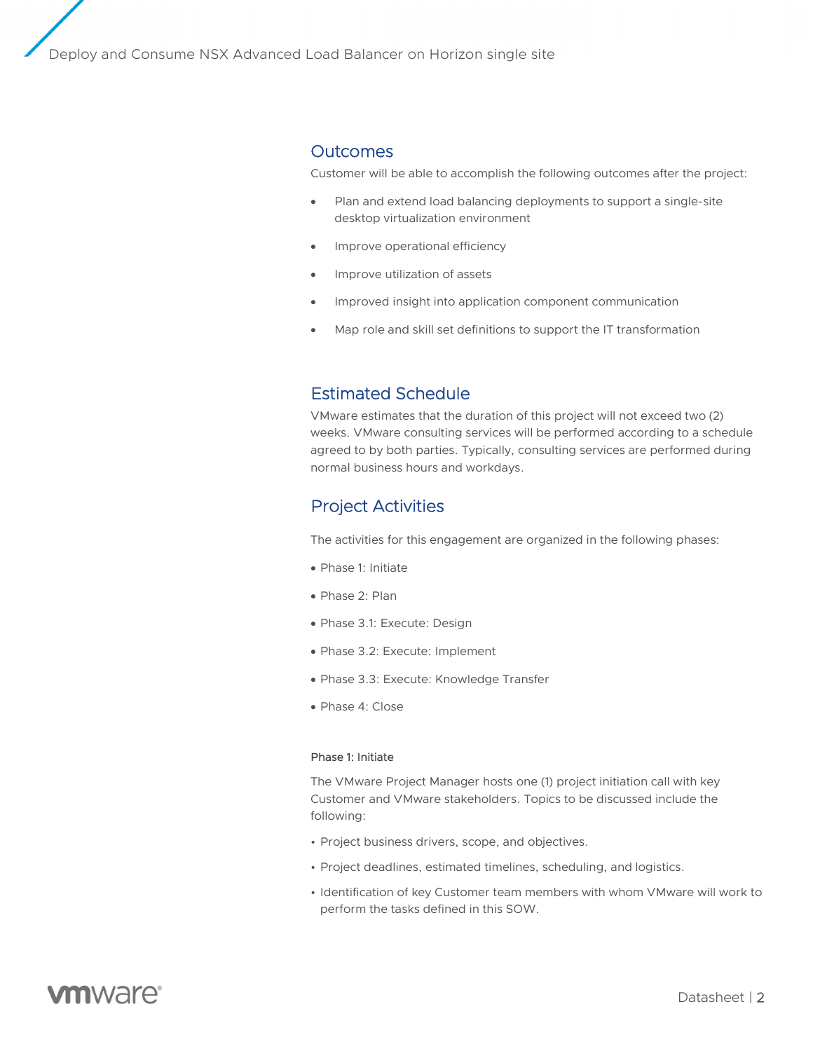### **Outcomes**

Customer will be able to accomplish the following outcomes after the project:

- Plan and extend load balancing deployments to support a single-site desktop virtualization environment
- Improve operational efficiency
- Improve utilization of assets
- Improved insight into application component communication
- Map role and skill set definitions to support the IT transformation

# Estimated Schedule

VMware estimates that the duration of this project will not exceed two (2) weeks. VMware consulting services will be performed according to a schedule agreed to by both parties. Typically, consulting services are performed during normal business hours and workdays.

# Project Activities

The activities for this engagement are organized in the following phases:

- Phase 1: Initiate
- Phase 2: Plan
- Phase 3.1: Execute: Design
- Phase 3.2: Execute: Implement
- Phase 3.3: Execute: Knowledge Transfer
- Phase 4: Close

#### Phase 1: Initiate

The VMware Project Manager hosts one (1) project initiation call with key Customer and VMware stakeholders. Topics to be discussed include the following:

- Project business drivers, scope, and objectives.
- Project deadlines, estimated timelines, scheduling, and logistics.
- Identification of key Customer team members with whom VMware will work to perform the tasks defined in this SOW.

# **vm**ware<sup>®</sup>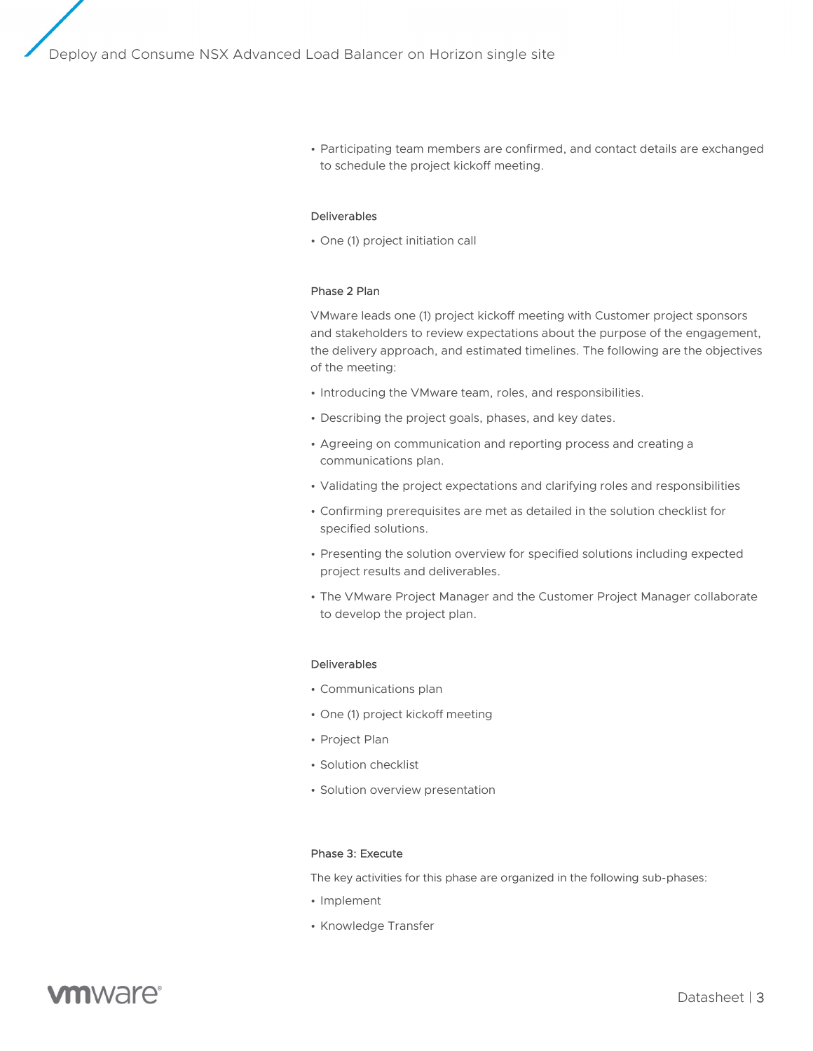• Participating team members are confirmed, and contact details are exchanged to schedule the project kickoff meeting.

### Deliverables

• One (1) project initiation call

### Phase 2 Plan

VMware leads one (1) project kickoff meeting with Customer project sponsors and stakeholders to review expectations about the purpose of the engagement, the delivery approach, and estimated timelines. The following are the objectives of the meeting:

- Introducing the VMware team, roles, and responsibilities.
- Describing the project goals, phases, and key dates.
- Agreeing on communication and reporting process and creating a communications plan.
- Validating the project expectations and clarifying roles and responsibilities
- Confirming prerequisites are met as detailed in the solution checklist for specified solutions.
- Presenting the solution overview for specified solutions including expected project results and deliverables.
- The VMware Project Manager and the Customer Project Manager collaborate to develop the project plan.

### Deliverables

- Communications plan
- One (1) project kickoff meeting
- Project Plan
- Solution checklist
- Solution overview presentation

### Phase 3: Execute

The key activities for this phase are organized in the following sub-phases:

- Implement
- Knowledge Transfer

# **vm**ware<sup>®</sup>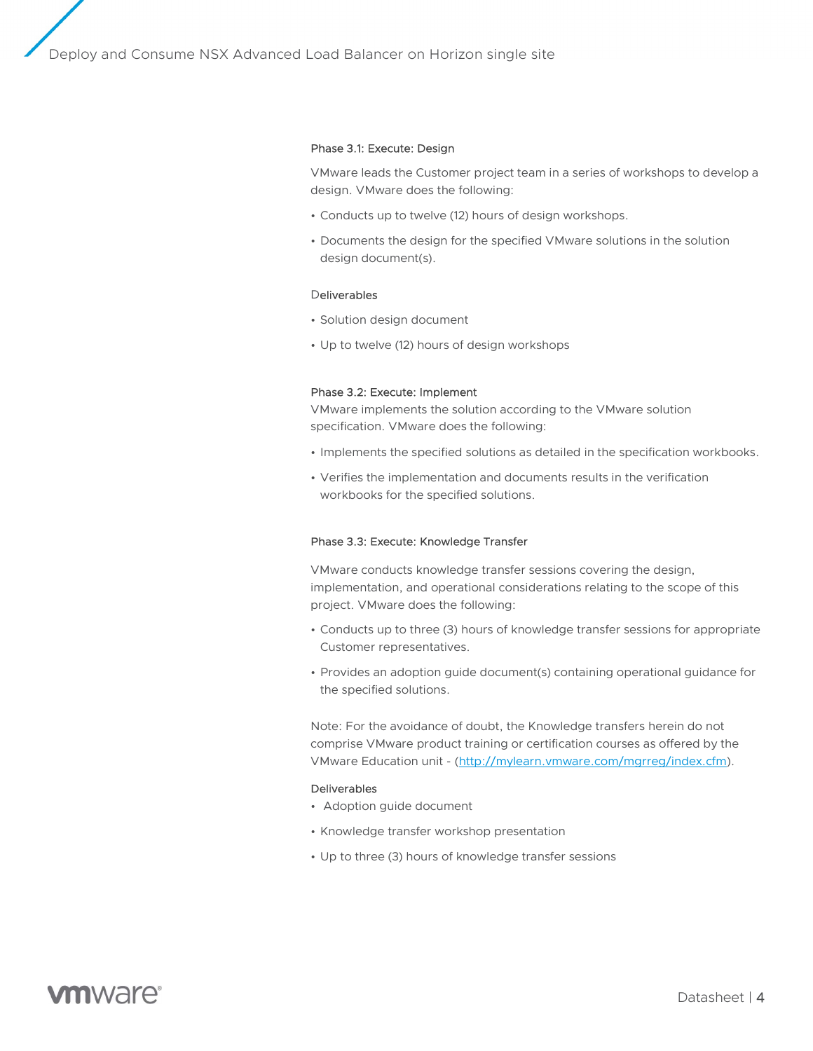### Phase 3.1: Execute: Design

VMware leads the Customer project team in a series of workshops to develop a design. VMware does the following:

- Conducts up to twelve (12) hours of design workshops.
- Documents the design for the specified VMware solutions in the solution design document(s).

### Deliverables

- Solution design document
- Up to twelve (12) hours of design workshops

### Phase 3.2: Execute: Implement

VMware implements the solution according to the VMware solution specification. VMware does the following:

- Implements the specified solutions as detailed in the specification workbooks.
- Verifies the implementation and documents results in the verification workbooks for the specified solutions.

#### Phase 3.3: Execute: Knowledge Transfer

VMware conducts knowledge transfer sessions covering the design, implementation, and operational considerations relating to the scope of this project. VMware does the following:

- Conducts up to three (3) hours of knowledge transfer sessions for appropriate Customer representatives.
- Provides an adoption guide document(s) containing operational guidance for the specified solutions.

Note: For the avoidance of doubt, the Knowledge transfers herein do not comprise VMware product training or certification courses as offered by the VMware Education unit - (http://mylearn.vmware.com/mgrreg/index.cfm).

### Deliverables

- Adoption guide document
- Knowledge transfer workshop presentation
- Up to three (3) hours of knowledge transfer sessions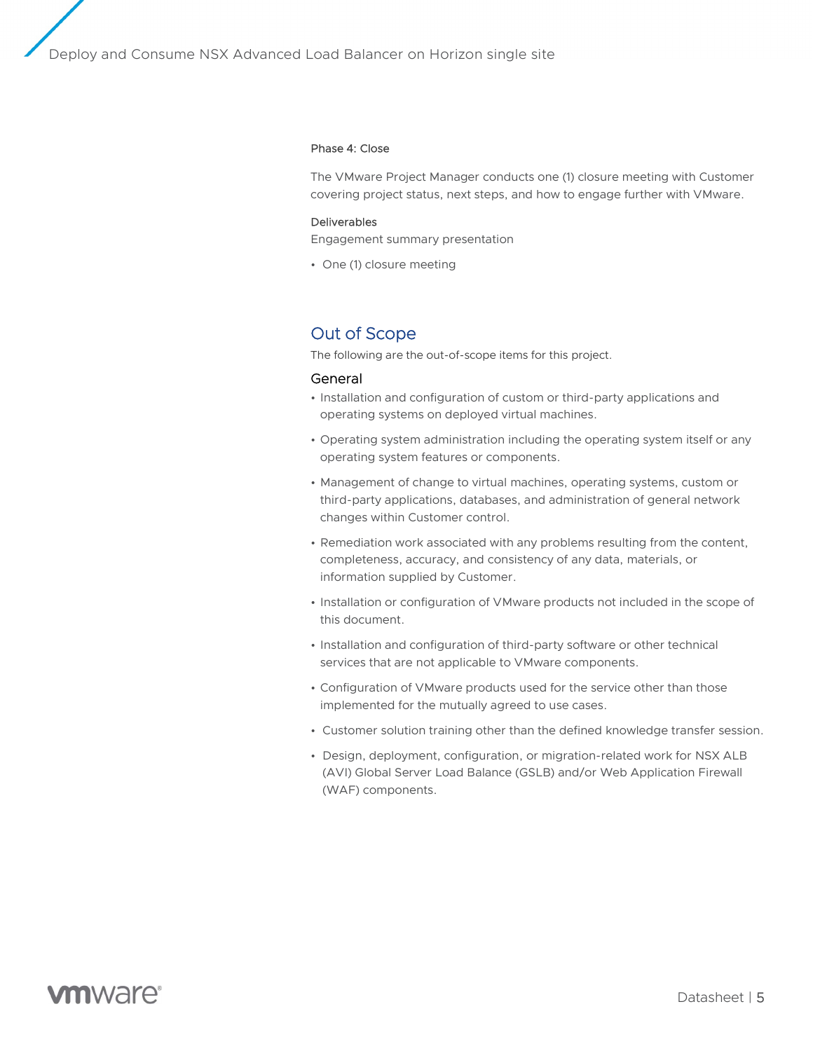### Phase 4: Close

The VMware Project Manager conducts one (1) closure meeting with Customer covering project status, next steps, and how to engage further with VMware.

### Deliverables

Engagement summary presentation

• One (1) closure meeting

### Out of Scope

The following are the out-of-scope items for this project.

### General

- Installation and configuration of custom or third-party applications and operating systems on deployed virtual machines.
- Operating system administration including the operating system itself or any operating system features or components.
- Management of change to virtual machines, operating systems, custom or third-party applications, databases, and administration of general network changes within Customer control.
- Remediation work associated with any problems resulting from the content, completeness, accuracy, and consistency of any data, materials, or information supplied by Customer.
- Installation or configuration of VMware products not included in the scope of this document.
- Installation and configuration of third-party software or other technical services that are not applicable to VMware components.
- Configuration of VMware products used for the service other than those implemented for the mutually agreed to use cases.
- Customer solution training other than the defined knowledge transfer session.
- Design, deployment, configuration, or migration-related work for NSX ALB (AVI) Global Server Load Balance (GSLB) and/or Web Application Firewall (WAF) components.

# **vm**ware<sup>®</sup>